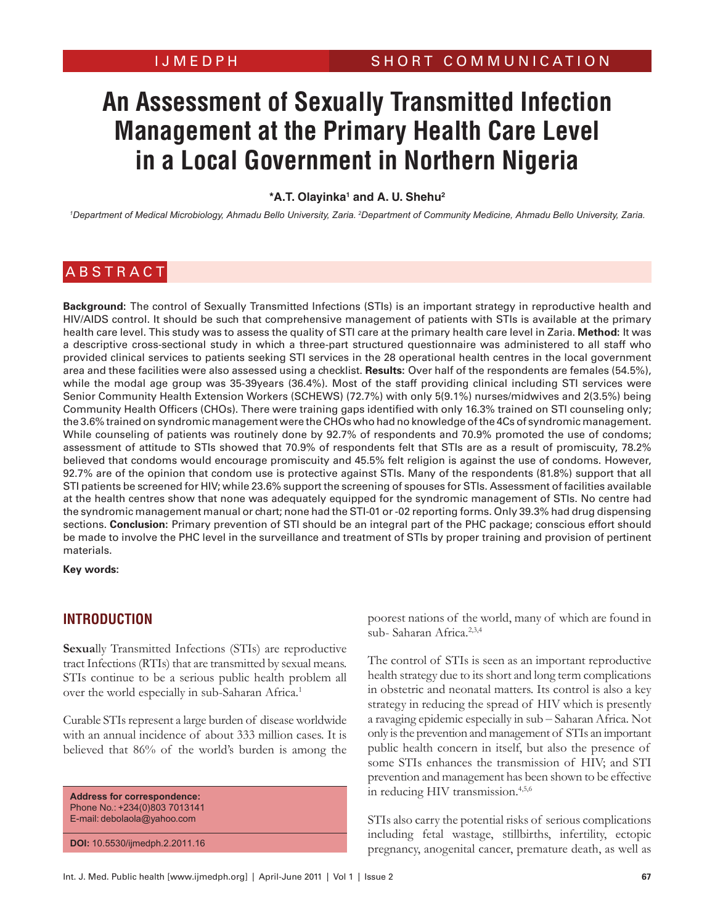# **An Assessment of Sexually Transmitted Infection Management at the Primary Health Care Level in a Local Government in Northern Nigeria**

<sup>\*</sup>A.T. Olayinka<sup>1</sup> and A. U. Shehu<sup>2</sup>

<sup>1</sup>Department of Medical Microbiology, Ahmadu Bello University, Zaria. <sup>2</sup>Department of Community Medicine, Ahmadu Bello University, Zaria.

#### **ABSTRACT**

**Background:** The control of Sexually Transmitted Infections (STIs) is an important strategy in reproductive health and HIV/AIDS control. It should be such that comprehensive management of patients with STIs is available at the primary health care level. This study was to assess the quality of STI care at the primary health care level in Zaria. **Method:** It was a descriptive cross-sectional study in which a three-part structured questionnaire was administered to all staff who provided clinical services to patients seeking STI services in the 28 operational health centres in the local government area and these facilities were also assessed using a checklist. **Results:** Over half of the respondents are females (54.5%), while the modal age group was 35-39years (36.4%). Most of the staff providing clinical including STI services were Senior Community Health Extension Workers (SCHEWS) (72.7%) with only 5(9.1%) nurses/midwives and 2(3.5%) being Community Health Officers (CHOs). There were training gaps identified with only 16.3% trained on STI counseling only; the 3.6% trained on syndromic management were the CHOs who had no knowledge of the 4Cs of syndromic management. While counseling of patients was routinely done by 92.7% of respondents and 70.9% promoted the use of condoms; assessment of attitude to STIs showed that 70.9% of respondents felt that STIs are as a result of promiscuity, 78.2% believed that condoms would encourage promiscuity and 45.5% felt religion is against the use of condoms. However, 92.7% are of the opinion that condom use is protective against STIs. Many of the respondents (81.8%) support that all STI patients be screened for HIV; while 23.6% support the screening of spouses for STIs. Assessment of facilities available at the health centres show that none was adequately equipped for the syndromic management of STIs. No centre had the syndromic management manual or chart; none had the STI-01 or -02 reporting forms. Only 39.3% had drug dispensing sections. **Conclusion:** Primary prevention of STI should be an integral part of the PHC package; conscious effort should be made to involve the PHC level in the surveillance and treatment of STIs by proper training and provision of pertinent materials.

**Key words:**

#### **INTRODUCTION**

**Sexua**lly Transmitted Infections (STIs) are reproductive tract Infections (RTIs) that are transmitted by sexual means. STIs continue to be a serious public health problem all over the world especially in sub-Saharan Africa.<sup>1</sup>

Curable STIs represent a large burden of disease worldwide with an annual incidence of about 333 million cases. It is believed that 86% of the world's burden is among the

**Address for correspondence:** Phone No.: +234(0)803 7013141 E-mail: debolaola@yahoo.com

**DOI:** 10.5530/ijmedph.2.2011.16

poorest nations of the world, many of which are found in sub- Saharan Africa<sup>2,3,4</sup>

The control of STIs is seen as an important reproductive health strategy due to its short and long term complications in obstetric and neonatal matters. Its control is also a key strategy in reducing the spread of HIV which is presently a ravaging epidemic especially in sub – Saharan Africa. Not only is the prevention and management of STIs an important public health concern in itself, but also the presence of some STIs enhances the transmission of HIV; and STI prevention and management has been shown to be effective in reducing HIV transmission.<sup>4,5,6</sup>

STIs also carry the potential risks of serious complications including fetal wastage, stillbirths, infertility, ectopic pregnancy, anogenital cancer, premature death, as well as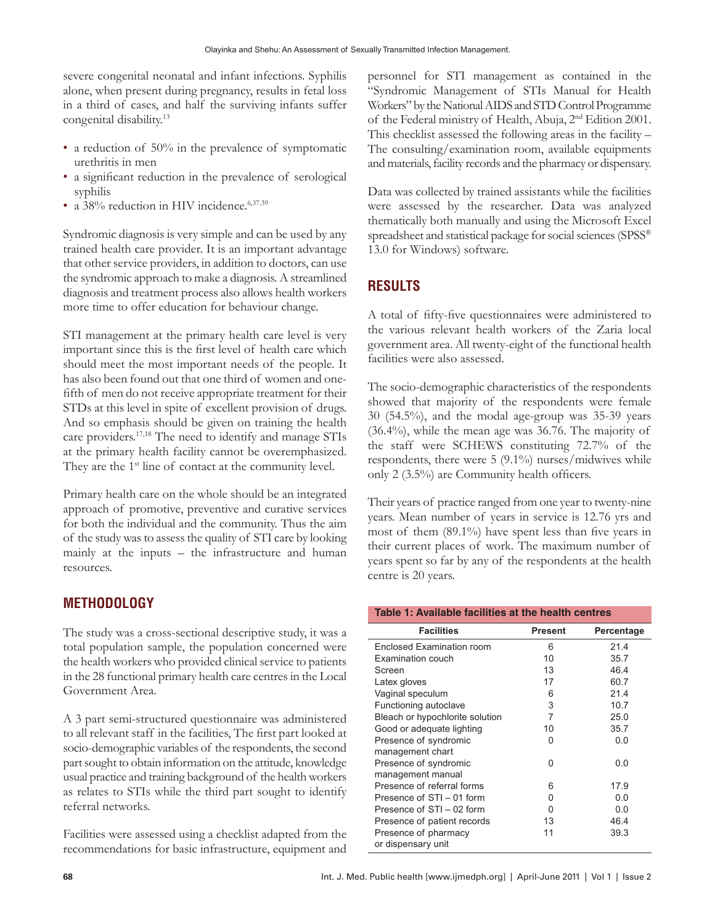severe congenital neonatal and infant infections. Syphilis alone, when present during pregnancy, results in fetal loss in a third of cases, and half the surviving infants suffer congenital disability.13

- a reduction of 50% in the prevalence of symptomatic urethritis in men
- a significant reduction in the prevalence of serological syphilis
- a 38% reduction in HIV incidence.<sup>6,37.39</sup>

Syndromic diagnosis is very simple and can be used by any trained health care provider. It is an important advantage that other service providers, in addition to doctors, can use the syndromic approach to make a diagnosis. A streamlined diagnosis and treatment process also allows health workers more time to offer education for behaviour change.

STI management at the primary health care level is very important since this is the first level of health care which should meet the most important needs of the people. It has also been found out that one third of women and onefifth of men do not receive appropriate treatment for their STDs at this level in spite of excellent provision of drugs. And so emphasis should be given on training the health care providers.17,18 The need to identify and manage STIs at the primary health facility cannot be overemphasized. They are the 1<sup>st</sup> line of contact at the community level.

Primary health care on the whole should be an integrated approach of promotive, preventive and curative services for both the individual and the community. Thus the aim of the study was to assess the quality of STI care by looking mainly at the inputs – the infrastructure and human resources.

#### **METHODOLOGY**

The study was a cross-sectional descriptive study, it was a total population sample, the population concerned were the health workers who provided clinical service to patients in the 28 functional primary health care centres in the Local Government Area.

A 3 part semi-structured questionnaire was administered to all relevant staff in the facilities, The first part looked at socio-demographic variables of the respondents, the second part sought to obtain information on the attitude, knowledge usual practice and training background of the health workers as relates to STIs while the third part sought to identify referral networks.

Facilities were assessed using a checklist adapted from the recommendations for basic infrastructure, equipment and personnel for STI management as contained in the "Syndromic Management of STIs Manual for Health Workers" by the National AIDS and STD Control Programme of the Federal ministry of Health, Abuja, 2nd Edition 2001. This checklist assessed the following areas in the facility – The consulting/examination room, available equipments and materials, facility records and the pharmacy or dispensary.

Data was collected by trained assistants while the facilities were assessed by the researcher. Data was analyzed thematically both manually and using the Microsoft Excel spreadsheet and statistical package for social sciences (SPSS®) 13.0 for Windows) software.

### **RESULTS**

A total of fifty-five questionnaires were administered to the various relevant health workers of the Zaria local government area. All twenty-eight of the functional health facilities were also assessed.

The socio-demographic characteristics of the respondents showed that majority of the respondents were female 30 (54.5%), and the modal age-group was 35-39 years (36.4%), while the mean age was 36.76. The majority of the staff were SCHEWS constituting 72.7% of the respondents, there were 5 (9.1%) nurses/midwives while only 2 (3.5%) are Community health officers.

Their years of practice ranged from one year to twenty-nine years. Mean number of years in service is 12.76 yrs and most of them (89.1%) have spent less than five years in their current places of work. The maximum number of years spent so far by any of the respondents at the health centre is 20 years.

| Table 1: Available facilities at the health centres |                |            |  |
|-----------------------------------------------------|----------------|------------|--|
| <b>Facilities</b>                                   | <b>Present</b> | Percentage |  |
| Enclosed Examination room                           | 6              | 21.4       |  |
| <b>Examination couch</b>                            | 10             | 35.7       |  |
| Screen                                              | 13             | 46.4       |  |
| Latex gloves                                        | 17             | 60.7       |  |
| Vaginal speculum                                    | 6              | 21.4       |  |
| Functioning autoclave                               | 3              | 10.7       |  |
| Bleach or hypochlorite solution                     | 7              | 25.0       |  |
| Good or adequate lighting                           | 10             | 35.7       |  |
| Presence of syndromic                               | 0              | 0.0        |  |
| management chart                                    |                |            |  |
| Presence of syndromic                               | U              | 0.0        |  |
| management manual                                   |                |            |  |
| Presence of referral forms                          | 6              | 17.9       |  |
| Presence of STI - 01 form                           | 0              | 0.0        |  |
| Presence of STI - 02 form                           | 0              | 0.0        |  |
| Presence of patient records                         | 13             | 46.4       |  |
| Presence of pharmacy                                | 11             | 39.3       |  |
| or dispensary unit                                  |                |            |  |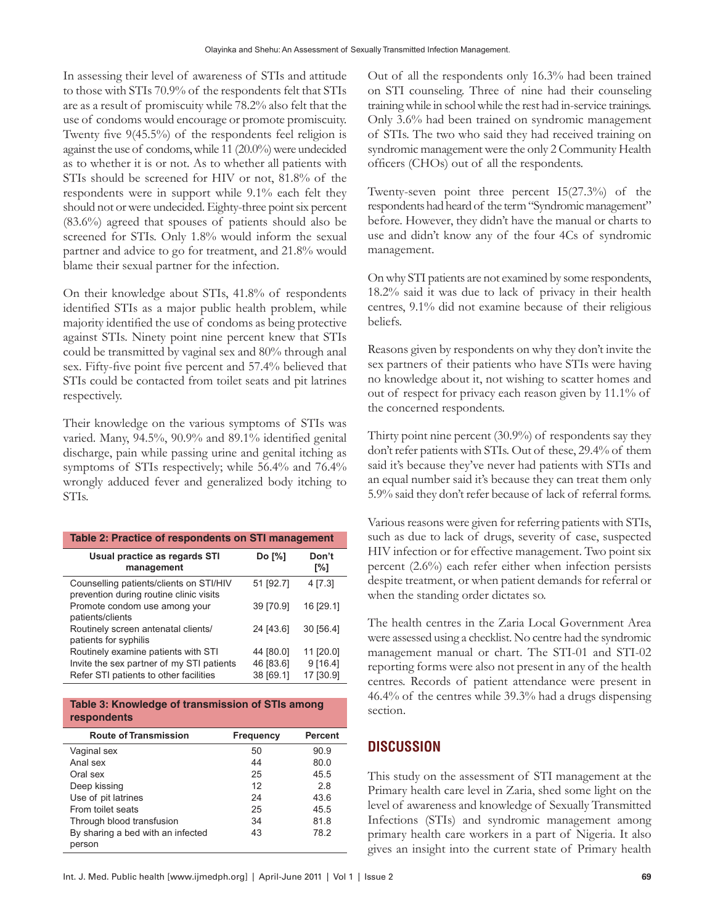In assessing their level of awareness of STIs and attitude to those with STIs 70.9% of the respondents felt that STIs are as a result of promiscuity while 78.2% also felt that the use of condoms would encourage or promote promiscuity. Twenty five 9(45.5%) of the respondents feel religion is against the use of condoms, while 11 (20.0%) were undecided as to whether it is or not. As to whether all patients with STIs should be screened for HIV or not, 81.8% of the respondents were in support while 9.1% each felt they should not or were undecided. Eighty-three point six percent (83.6%) agreed that spouses of patients should also be screened for STIs. Only 1.8% would inform the sexual partner and advice to go for treatment, and 21.8% would blame their sexual partner for the infection.

On their knowledge about STIs, 41.8% of respondents identified STIs as a major public health problem, while majority identified the use of condoms as being protective against STIs. Ninety point nine percent knew that STIs could be transmitted by vaginal sex and 80% through anal sex. Fifty-five point five percent and 57.4% believed that STIs could be contacted from toilet seats and pit latrines respectively.

Their knowledge on the various symptoms of STIs was varied. Many, 94.5%, 90.9% and 89.1% identified genital discharge, pain while passing urine and genital itching as symptoms of STIs respectively; while 56.4% and 76.4% wrongly adduced fever and generalized body itching to STIs.

| Table 2: Practice of respondents on STI management                                 |           |              |  |
|------------------------------------------------------------------------------------|-----------|--------------|--|
| Usual practice as regards STI<br>management                                        | Do [%]    | Don't<br>[%] |  |
| Counselling patients/clients on STI/HIV<br>prevention during routine clinic visits | 51 [92.7] | 4 [7.3]      |  |
| Promote condom use among your<br>patients/clients                                  | 39 [70.9] | 16 [29.1]    |  |
| Routinely screen antenatal clients/<br>patients for syphilis                       | 24 [43.6] | 30 [56.4]    |  |
| Routinely examine patients with STI                                                | 44 [80.0] | 11 [20.0]    |  |
| Invite the sex partner of my STI patients                                          | 46 [83.6] | 9[16.4]      |  |
| Refer STI patients to other facilities                                             | 38 [69.1] | 17 [30.9]    |  |

**Table 3: Knowledge of transmission of STIs among respondents**

| <b>Route of Transmission</b>                | Frequency | <b>Percent</b> |
|---------------------------------------------|-----------|----------------|
| Vaginal sex                                 | 50        | 90.9           |
| Anal sex                                    | 44        | 80.0           |
| Oral sex                                    | 25        | 45.5           |
| Deep kissing                                | 12        | 2.8            |
| Use of pit latrines                         | 24        | 43.6           |
| From toilet seats                           | 25        | 45.5           |
| Through blood transfusion                   | 34        | 81.8           |
| By sharing a bed with an infected<br>person | 43        | 78.2           |

Out of all the respondents only 16.3% had been trained on STI counseling. Three of nine had their counseling training while in school while the rest had in-service trainings. Only 3.6% had been trained on syndromic management of STIs. The two who said they had received training on syndromic management were the only 2 Community Health officers (CHOs) out of all the respondents.

Twenty-seven point three percent I5(27.3%) of the respondents had heard of the term "Syndromic management" before. However, they didn't have the manual or charts to use and didn't know any of the four 4Cs of syndromic management.

On why STI patients are not examined by some respondents, 18.2% said it was due to lack of privacy in their health centres, 9.1% did not examine because of their religious beliefs.

Reasons given by respondents on why they don't invite the sex partners of their patients who have STIs were having no knowledge about it, not wishing to scatter homes and out of respect for privacy each reason given by 11.1% of the concerned respondents.

Thirty point nine percent (30.9%) of respondents say they don't refer patients with STIs. Out of these, 29.4% of them said it's because they've never had patients with STIs and an equal number said it's because they can treat them only 5.9% said they don't refer because of lack of referral forms.

Various reasons were given for referring patients with STIs, such as due to lack of drugs, severity of case, suspected HIV infection or for effective management. Two point six percent (2.6%) each refer either when infection persists despite treatment, or when patient demands for referral or when the standing order dictates so.

The health centres in the Zaria Local Government Area were assessed using a checklist. No centre had the syndromic management manual or chart. The STI-01 and STI-02 reporting forms were also not present in any of the health centres. Records of patient attendance were present in 46.4% of the centres while 39.3% had a drugs dispensing section.

#### **DISCUSSION**

This study on the assessment of STI management at the Primary health care level in Zaria, shed some light on the level of awareness and knowledge of Sexually Transmitted Infections (STIs) and syndromic management among primary health care workers in a part of Nigeria. It also gives an insight into the current state of Primary health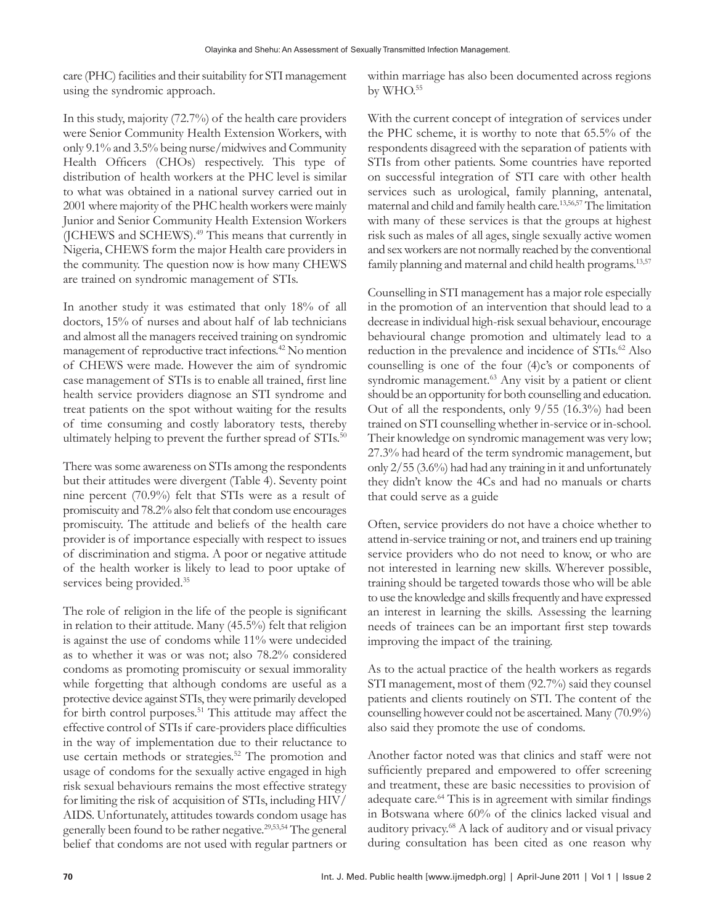care (PHC) facilities and their suitability for STI management using the syndromic approach.

In this study, majority (72.7%) of the health care providers were Senior Community Health Extension Workers, with only 9.1% and 3.5% being nurse/midwives and Community Health Officers (CHOs) respectively. This type of distribution of health workers at the PHC level is similar to what was obtained in a national survey carried out in 2001 where majority of the PHC health workers were mainly Junior and Senior Community Health Extension Workers (JCHEWS and SCHEWS).<sup>49</sup> This means that currently in Nigeria, CHEWS form the major Health care providers in the community. The question now is how many CHEWS are trained on syndromic management of STIs.

In another study it was estimated that only 18% of all doctors, 15% of nurses and about half of lab technicians and almost all the managers received training on syndromic management of reproductive tract infections.42 No mention of CHEWS were made. However the aim of syndromic case management of STIs is to enable all trained, first line health service providers diagnose an STI syndrome and treat patients on the spot without waiting for the results of time consuming and costly laboratory tests, thereby ultimately helping to prevent the further spread of STIs.<sup>50</sup>

There was some awareness on STIs among the respondents but their attitudes were divergent (Table 4). Seventy point nine percent (70.9%) felt that STIs were as a result of promiscuity and 78.2% also felt that condom use encourages promiscuity. The attitude and beliefs of the health care provider is of importance especially with respect to issues of discrimination and stigma. A poor or negative attitude of the health worker is likely to lead to poor uptake of services being provided.<sup>35</sup>

The role of religion in the life of the people is significant in relation to their attitude. Many (45.5%) felt that religion is against the use of condoms while 11% were undecided as to whether it was or was not; also 78.2% considered condoms as promoting promiscuity or sexual immorality while forgetting that although condoms are useful as a protective device against STIs, they were primarily developed for birth control purposes.<sup>51</sup> This attitude may affect the effective control of STIs if care-providers place difficulties in the way of implementation due to their reluctance to use certain methods or strategies.<sup>52</sup> The promotion and usage of condoms for the sexually active engaged in high risk sexual behaviours remains the most effective strategy for limiting the risk of acquisition of STIs, including HIV/ AIDS. Unfortunately, attitudes towards condom usage has generally been found to be rather negative.29,53,54 The general belief that condoms are not used with regular partners or

within marriage has also been documented across regions by WHO.<sup>55</sup>

With the current concept of integration of services under the PHC scheme, it is worthy to note that 65.5% of the respondents disagreed with the separation of patients with STIs from other patients. Some countries have reported on successful integration of STI care with other health services such as urological, family planning, antenatal, maternal and child and family health care.13,56,57 The limitation with many of these services is that the groups at highest risk such as males of all ages, single sexually active women and sex workers are not normally reached by the conventional family planning and maternal and child health programs.<sup>13,57</sup>

Counselling in STI management has a major role especially in the promotion of an intervention that should lead to a decrease in individual high-risk sexual behaviour, encourage behavioural change promotion and ultimately lead to a reduction in the prevalence and incidence of STIs.<sup>62</sup> Also counselling is one of the four (4)c's or components of syndromic management.<sup>63</sup> Any visit by a patient or client should be an opportunity for both counselling and education. Out of all the respondents, only 9/55 (16.3%) had been trained on STI counselling whether in-service or in-school. Their knowledge on syndromic management was very low; 27.3% had heard of the term syndromic management, but only 2/55 (3.6%) had had any training in it and unfortunately they didn't know the 4Cs and had no manuals or charts that could serve as a guide

Often, service providers do not have a choice whether to attend in-service training or not, and trainers end up training service providers who do not need to know, or who are not interested in learning new skills. Wherever possible, training should be targeted towards those who will be able to use the knowledge and skills frequently and have expressed an interest in learning the skills. Assessing the learning needs of trainees can be an important first step towards improving the impact of the training.

As to the actual practice of the health workers as regards STI management, most of them (92.7%) said they counsel patients and clients routinely on STI. The content of the counselling however could not be ascertained. Many (70.9%) also said they promote the use of condoms.

Another factor noted was that clinics and staff were not sufficiently prepared and empowered to offer screening and treatment, these are basic necessities to provision of adequate care.<sup>64</sup> This is in agreement with similar findings in Botswana where 60% of the clinics lacked visual and auditory privacy.68 A lack of auditory and or visual privacy during consultation has been cited as one reason why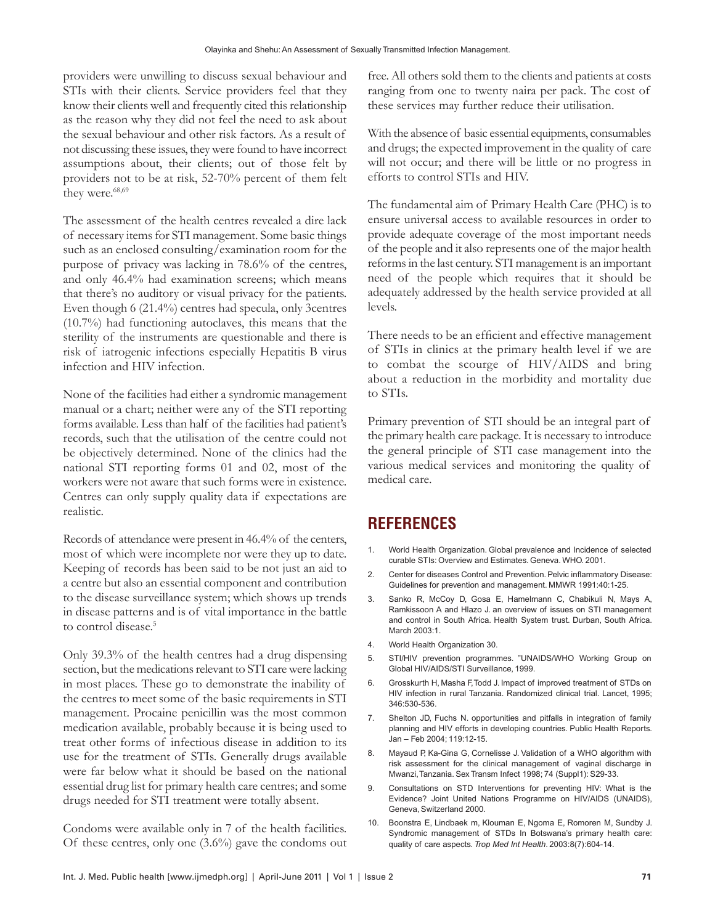providers were unwilling to discuss sexual behaviour and STIs with their clients. Service providers feel that they know their clients well and frequently cited this relationship as the reason why they did not feel the need to ask about the sexual behaviour and other risk factors. As a result of not discussing these issues, they were found to have incorrect assumptions about, their clients; out of those felt by providers not to be at risk, 52-70% percent of them felt they were.<sup>68,69</sup>

The assessment of the health centres revealed a dire lack of necessary items for STI management. Some basic things such as an enclosed consulting/examination room for the purpose of privacy was lacking in 78.6% of the centres, and only 46.4% had examination screens; which means that there's no auditory or visual privacy for the patients. Even though 6 (21.4%) centres had specula, only 3centres (10.7%) had functioning autoclaves, this means that the sterility of the instruments are questionable and there is risk of iatrogenic infections especially Hepatitis B virus infection and HIV infection.

None of the facilities had either a syndromic management manual or a chart; neither were any of the STI reporting forms available. Less than half of the facilities had patient's records, such that the utilisation of the centre could not be objectively determined. None of the clinics had the national STI reporting forms 01 and 02, most of the workers were not aware that such forms were in existence. Centres can only supply quality data if expectations are realistic.

Records of attendance were present in 46.4% of the centers, most of which were incomplete nor were they up to date. Keeping of records has been said to be not just an aid to a centre but also an essential component and contribution to the disease surveillance system; which shows up trends in disease patterns and is of vital importance in the battle to control disease.<sup>5</sup>

Only 39.3% of the health centres had a drug dispensing section, but the medications relevant to STI care were lacking in most places. These go to demonstrate the inability of the centres to meet some of the basic requirements in STI management. Procaine penicillin was the most common medication available, probably because it is being used to treat other forms of infectious disease in addition to its use for the treatment of STIs. Generally drugs available were far below what it should be based on the national essential drug list for primary health care centres; and some drugs needed for STI treatment were totally absent.

Condoms were available only in 7 of the health facilities. Of these centres, only one (3.6%) gave the condoms out

free. All others sold them to the clients and patients at costs ranging from one to twenty naira per pack. The cost of these services may further reduce their utilisation.

With the absence of basic essential equipments, consumables and drugs; the expected improvement in the quality of care will not occur; and there will be little or no progress in efforts to control STIs and HIV.

The fundamental aim of Primary Health Care (PHC) is to ensure universal access to available resources in order to provide adequate coverage of the most important needs of the people and it also represents one of the major health reforms in the last century. STI management is an important need of the people which requires that it should be adequately addressed by the health service provided at all levels.

There needs to be an efficient and effective management of STIs in clinics at the primary health level if we are to combat the scourge of HIV/AIDS and bring about a reduction in the morbidity and mortality due to STIs.

Primary prevention of STI should be an integral part of the primary health care package. It is necessary to introduce the general principle of STI case management into the various medical services and monitoring the quality of medical care.

## **REFERENCES**

- 1. World Health Organization. Global prevalence and Incidence of selected curable STIs: Overview and Estimates. Geneva. WHO. 2001.
- 2. Center for diseases Control and Prevention. Pelvic inflammatory Disease: Guidelines for prevention and management. MMWR 1991:40:1-25.
- 3. Sanko R, McCoy D, Gosa E, Hamelmann C, Chabikuli N, Mays A, Ramkissoon A and Hlazo J. an overview of issues on STI management and control in South Africa. Health System trust. Durban, South Africa. March 2003:1.
- 4. World Health Organization 30.
- 5. STI/HIV prevention programmes. "UNAIDS/WHO Working Group on Global HIV/AIDS/STI Surveillance, 1999.
- 6. Grosskurth H, Masha F, Todd J. Impact of improved treatment of STDs on HIV infection in rural Tanzania. Randomized clinical trial. Lancet, 1995; 346:530-536.
- 7. Shelton JD, Fuchs N. opportunities and pitfalls in integration of family planning and HIV efforts in developing countries. Public Health Reports. Jan – Feb 2004; 119:12-15.
- 8. Mayaud P, Ka-Gina G, Cornelisse J. Validation of a WHO algorithm with risk assessment for the clinical management of vaginal discharge in Mwanzi, Tanzania. Sex Transm Infect 1998; 74 (Suppl1): S29-33.
- 9. Consultations on STD Interventions for preventing HIV: What is the Evidence? Joint United Nations Programme on HIV/AIDS (UNAIDS), Geneva, Switzerland 2000.
- 10. Boonstra E, Lindbaek m, Klouman E, Ngoma E, Romoren M, Sundby J. Syndromic management of STDs In Botswana's primary health care: quality of care aspects. *Trop Med Int Health*. 2003:8(7):604-14.